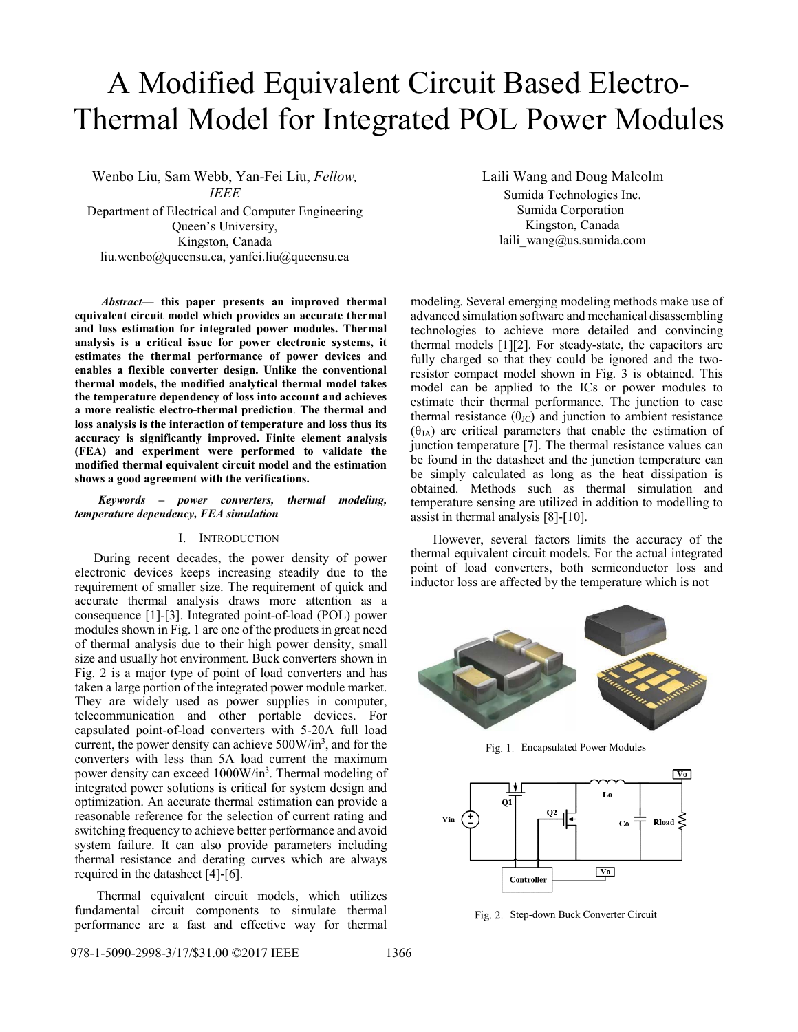# A Modified Equivalent Circuit Based Electro-Thermal Model for Integrated POL Power Modules

Wenbo Liu, Sam Webb, Yan-Fei Liu, *Fellow, IEEE*

Department of Electrical and Computer Engineering Queen's University, Kingston, Canada liu.wenbo@queensu.ca, yanfei.liu@queensu.ca

 *Abstract***— this paper presents an improved thermal equivalent circuit model which provides an accurate thermal and loss estimation for integrated power modules. Thermal analysis is a critical issue for power electronic systems, it estimates the thermal performance of power devices and enables a flexible converter design. Unlike the conventional thermal models, the modified analytical thermal model takes the temperature dependency of loss into account and achieves a more realistic electro-thermal prediction**. **The thermal and loss analysis is the interaction of temperature and loss thus its accuracy is significantly improved. Finite element analysis (FEA) and experiment were performed to validate the modified thermal equivalent circuit model and the estimation shows a good agreement with the verifications.** 

*Keywords – power converters, thermal modeling, temperature dependency, FEA simulation* 

## I. INTRODUCTION

During recent decades, the power density of power electronic devices keeps increasing steadily due to the requirement of smaller size. The requirement of quick and accurate thermal analysis draws more attention as a consequence [1]-[3]. Integrated point-of-load (POL) power modules shown in Fig. 1 are one of the products in great need of thermal analysis due to their high power density, small size and usually hot environment. Buck converters shown in Fig. 2 is a major type of point of load converters and has taken a large portion of the integrated power module market. They are widely used as power supplies in computer, telecommunication and other portable devices. For capsulated point-of-load converters with 5-20A full load current, the power density can achieve  $500$ W/in<sup>3</sup>, and for the converters with less than 5A load current the maximum power density can exceed 1000W/in<sup>3</sup>. Thermal modeling of integrated power solutions is critical for system design and optimization. An accurate thermal estimation can provide a reasonable reference for the selection of current rating and switching frequency to achieve better performance and avoid system failure. It can also provide parameters including thermal resistance and derating curves which are always required in the datasheet [4]-[6].

 Thermal equivalent circuit models, which utilizes fundamental circuit components to simulate thermal performance are a fast and effective way for thermal

Laili Wang and Doug Malcolm

Sumida Technologies Inc. Sumida Corporation Kingston, Canada laili wang@us.sumida.com

modeling. Several emerging modeling methods make use of advanced simulation software and mechanical disassembling technologies to achieve more detailed and convincing thermal models [1][2]. For steady-state, the capacitors are fully charged so that they could be ignored and the tworesistor compact model shown in Fig. 3 is obtained. This model can be applied to the ICs or power modules to estimate their thermal performance. The junction to case thermal resistance  $(\theta_{\text{JC}})$  and junction to ambient resistance  $(\theta_{JA})$  are critical parameters that enable the estimation of junction temperature [7]. The thermal resistance values can be found in the datasheet and the junction temperature can be simply calculated as long as the heat dissipation is obtained. Methods such as thermal simulation and temperature sensing are utilized in addition to modelling to assist in thermal analysis [8]-[10].

 However, several factors limits the accuracy of the thermal equivalent circuit models. For the actual integrated point of load converters, both semiconductor loss and inductor loss are affected by the temperature which is not



Fig. 1. Encapsulated Power Modules



Fig. 2. Step-down Buck Converter Circuit

978-1-5090-2998-3/17/\$31.00 ©2017 IEEE 1366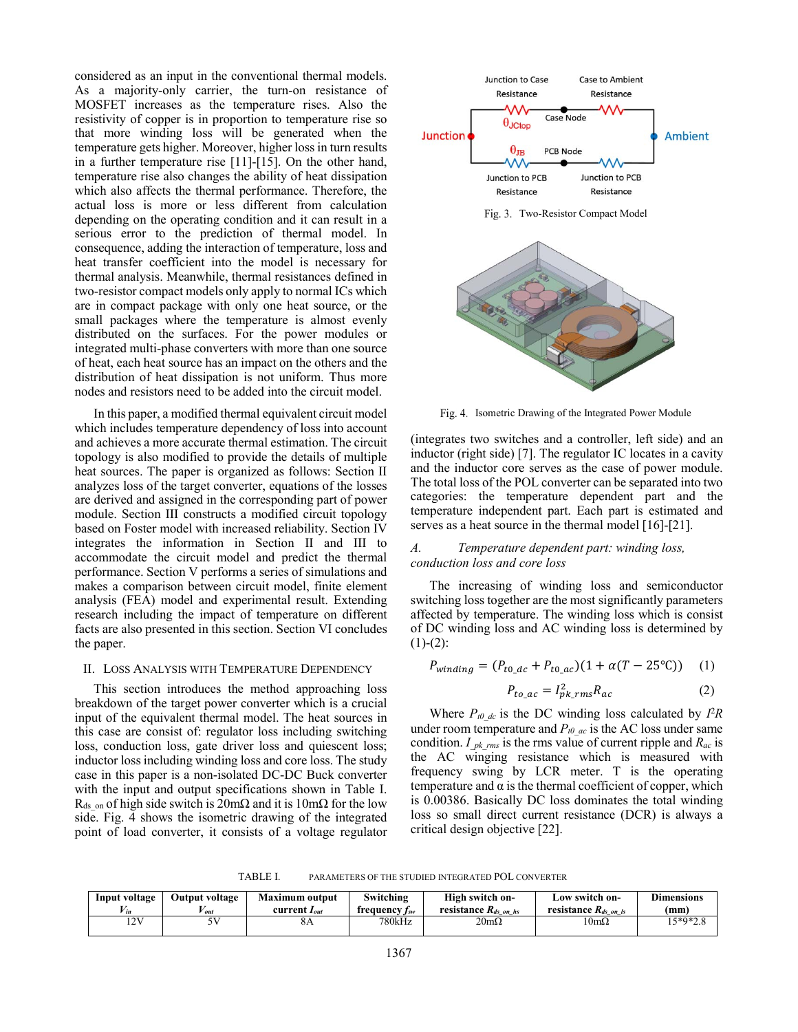considered as an input in the conventional thermal models. As a majority-only carrier, the turn-on resistance of MOSFET increases as the temperature rises. Also the resistivity of copper is in proportion to temperature rise so that more winding loss will be generated when the temperature gets higher. Moreover, higher loss in turn results in a further temperature rise [11]-[15]. On the other hand, temperature rise also changes the ability of heat dissipation which also affects the thermal performance. Therefore, the actual loss is more or less different from calculation depending on the operating condition and it can result in a serious error to the prediction of thermal model. In consequence, adding the interaction of temperature, loss and heat transfer coefficient into the model is necessary for thermal analysis. Meanwhile, thermal resistances defined in two-resistor compact models only apply to normal ICs which are in compact package with only one heat source, or the small packages where the temperature is almost evenly distributed on the surfaces. For the power modules or integrated multi-phase converters with more than one source of heat, each heat source has an impact on the others and the distribution of heat dissipation is not uniform. Thus more nodes and resistors need to be added into the circuit model.

In this paper, a modified thermal equivalent circuit model which includes temperature dependency of loss into account and achieves a more accurate thermal estimation. The circuit topology is also modified to provide the details of multiple heat sources. The paper is organized as follows: Section II analyzes loss of the target converter, equations of the losses are derived and assigned in the corresponding part of power module. Section III constructs a modified circuit topology based on Foster model with increased reliability. Section IV integrates the information in Section II and III to accommodate the circuit model and predict the thermal performance. Section V performs a series of simulations and makes a comparison between circuit model, finite element analysis (FEA) model and experimental result. Extending research including the impact of temperature on different facts are also presented in this section. Section VI concludes the paper.

#### II. LOSS ANALYSIS WITH TEMPERATURE DEPENDENCY

This section introduces the method approaching loss breakdown of the target power converter which is a crucial input of the equivalent thermal model. The heat sources in this case are consist of: regulator loss including switching loss, conduction loss, gate driver loss and quiescent loss; inductor loss including winding loss and core loss. The study case in this paper is a non-isolated DC-DC Buck converter with the input and output specifications shown in Table I.  $R_{ds \text{ on}}$  of high side switch is 20m $\Omega$  and it is 10m $\Omega$  for the low side. Fig. 4 shows the isometric drawing of the integrated point of load converter, it consists of a voltage regulator



Fig. 4. Isometric Drawing of the Integrated Power Module

(integrates two switches and a controller, left side) and an inductor (right side) [7]. The regulator IC locates in a cavity and the inductor core serves as the case of power module. The total loss of the POL converter can be separated into two categories: the temperature dependent part and the temperature independent part. Each part is estimated and serves as a heat source in the thermal model [16]-[21].

## *A. Temperature dependent part: winding loss, conduction loss and core loss*

The increasing of winding loss and semiconductor switching loss together are the most significantly parameters affected by temperature. The winding loss which is consist of DC winding loss and AC winding loss is determined by  $(1)-(2)$ :

$$
P_{winding} = (P_{t0\_dc} + P_{t0\_ac})(1 + \alpha(T - 25^{\circ}C)) \quad (1)
$$

$$
P_{to\_ac} = I_{pk\_rms}^2 R_{ac} \tag{2}
$$

Where  $P_{t0 dc}$  is the DC winding loss calculated by  $I^2R$ under room temperature and  $P_{t0_a c}$  is the AC loss under same condition.  $I_{pk\_rms}$  is the rms value of current ripple and  $R_{ac}$  is the AC winging resistance which is measured with frequency swing by LCR meter. T is the operating temperature and  $\alpha$  is the thermal coefficient of copper, which is 0.00386. Basically DC loss dominates the total winding loss so small direct current resistance (DCR) is always a critical design objective [22].

TABLE I. PARAMETERS OF THE STUDIED INTEGRATED POL CONVERTER

| Input voltage              | <b>Output voltage</b> | <b>Maximum output</b>     | Switching                   | High switch on-                    | Low switch on-              | <b>Dimensions</b> |
|----------------------------|-----------------------|---------------------------|-----------------------------|------------------------------------|-----------------------------|-------------------|
| V in                       | out                   | current <i>Lout</i>       | <b>frequency</b> <i>fsw</i> | resistance $R_{ds \text{ on } hs}$ | resistance $R_{ds, on, ls}$ | (mm)              |
| $\mathcal{L}(\mathcal{L})$ |                       | $\mathcal{O}/\mathcal{A}$ | 780kHz                      | $20m\Omega$                        | $10m\Omega$                 | 15*0*28           |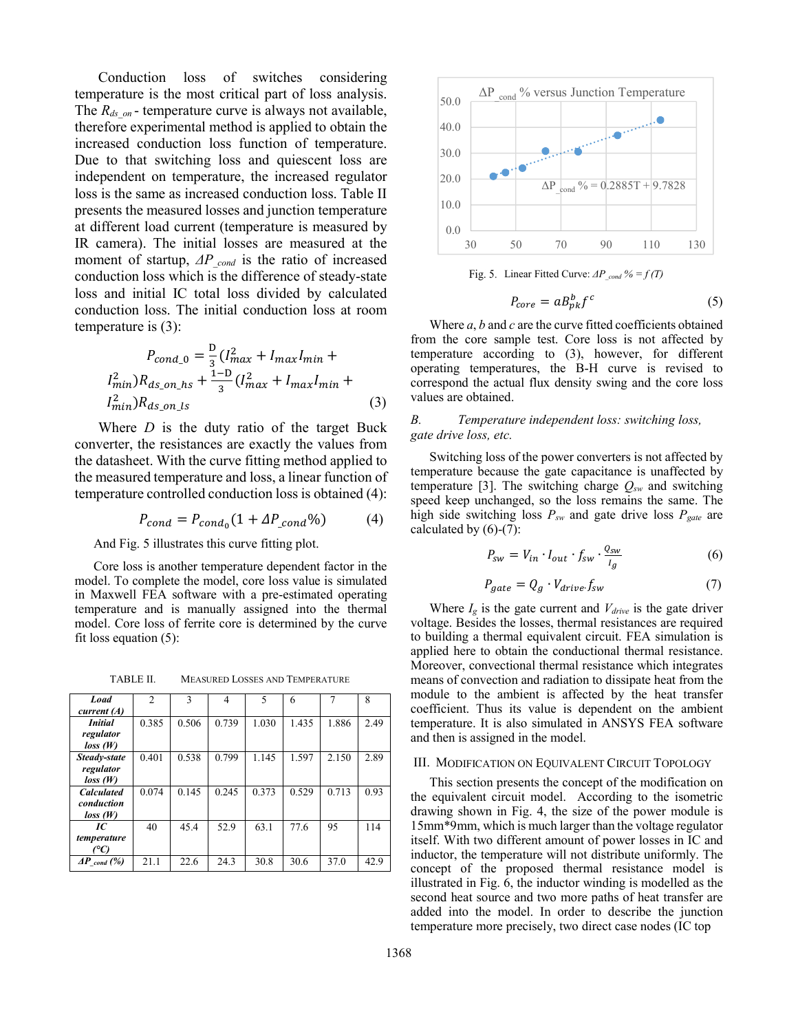Conduction loss of switches considering temperature is the most critical part of loss analysis. The *R<sub>ds on*</sub> - temperature curve is always not available, therefore experimental method is applied to obtain the increased conduction loss function of temperature. Due to that switching loss and quiescent loss are independent on temperature, the increased regulator loss is the same as increased conduction loss. Table II presents the measured losses and junction temperature at different load current (temperature is measured by IR camera). The initial losses are measured at the moment of startup,  $\Delta P_{cond}$  is the ratio of increased conduction loss which is the difference of steady-state loss and initial IC total loss divided by calculated conduction loss. The initial conduction loss at room temperature is (3):

$$
P_{cond\_0} = \frac{D}{3} (I_{max}^2 + I_{max} I_{min} + I_{min}^2) R_{ds\_on\_hs} + \frac{1 - D}{3} (I_{max}^2 + I_{max} I_{min} + I_{min}^2) R_{ds\_on\_ls}
$$
(3)

Where *D* is the duty ratio of the target Buck converter, the resistances are exactly the values from the datasheet. With the curve fitting method applied to the measured temperature and loss, a linear function of temperature controlled conduction loss is obtained (4):

$$
P_{cond} = P_{cond_0}(1 + \Delta P_{cond}\%) \tag{4}
$$

And Fig. 5 illustrates this curve fitting plot.

Core loss is another temperature dependent factor in the model. To complete the model, core loss value is simulated in Maxwell FEA software with a pre-estimated operating temperature and is manually assigned into the thermal model. Core loss of ferrite core is determined by the curve fit loss equation (5):

TABLE II. MEASURED LOSSES AND TEMPERATURE

| Load<br>current(A)                         | $\mathfrak{D}$ | 3     | 4     | 5     | 6     |       | 8    |
|--------------------------------------------|----------------|-------|-------|-------|-------|-------|------|
| <i>Initial</i><br>regulator<br>loss(W)     | 0.385          | 0.506 | 0.739 | 1.030 | 1.435 | 1.886 | 2.49 |
| Steady-state<br>regulator<br>loss(W)       | 0.401          | 0.538 | 0.799 | 1.145 | 1.597 | 2.150 | 2.89 |
| <b>Calculated</b><br>conduction<br>loss(W) | 0.074          | 0.145 | 0.245 | 0.373 | 0.529 | 0.713 | 0.93 |
| IC<br>temperature<br>(°C)                  | 40             | 45.4  | 52.9  | 63.1  | 77.6  | 95    | 114  |
| $\Delta P$ cond $(\%)$                     | 21.1           | 22.6  | 24.3  | 30.8  | 30.6  | 37.0  | 42.9 |



Fig. 5. Linear Fitted Curve:  $\Delta P_{cond}$  % =  $f(T)$ 

$$
P_{core} = aB_{pk}^{b}f^{c}
$$
 (5)

Where *a*, *b* and *c* are the curve fitted coefficients obtained from the core sample test. Core loss is not affected by temperature according to (3), however, for different operating temperatures, the B-H curve is revised to correspond the actual flux density swing and the core loss values are obtained.

## *B. Temperature independent loss: switching loss, gate drive loss, etc.*

Switching loss of the power converters is not affected by temperature because the gate capacitance is unaffected by temperature [3]. The switching charge  $Q_{sw}$  and switching speed keep unchanged, so the loss remains the same. The high side switching loss  $P_{sw}$  and gate drive loss  $P_{gate}$  are calculated by  $(6)-(7)$ :

$$
P_{sw} = V_{in} \cdot I_{out} \cdot f_{sw} \cdot \frac{Q_{sw}}{I_g} \tag{6}
$$

$$
P_{gate} = Q_g \cdot V_{drive} f_{sw} \tag{7}
$$

Where  $I_g$  is the gate current and  $V_{drive}$  is the gate driver voltage. Besides the losses, thermal resistances are required to building a thermal equivalent circuit. FEA simulation is applied here to obtain the conductional thermal resistance. Moreover, convectional thermal resistance which integrates means of convection and radiation to dissipate heat from the module to the ambient is affected by the heat transfer coefficient. Thus its value is dependent on the ambient temperature. It is also simulated in ANSYS FEA software and then is assigned in the model.

## III. MODIFICATION ON EQUIVALENT CIRCUIT TOPOLOGY

This section presents the concept of the modification on the equivalent circuit model. According to the isometric drawing shown in Fig. 4, the size of the power module is 15mm\*9mm, which is much larger than the voltage regulator itself. With two different amount of power losses in IC and inductor, the temperature will not distribute uniformly. The concept of the proposed thermal resistance model is illustrated in Fig. 6, the inductor winding is modelled as the second heat source and two more paths of heat transfer are added into the model. In order to describe the junction temperature more precisely, two direct case nodes (IC top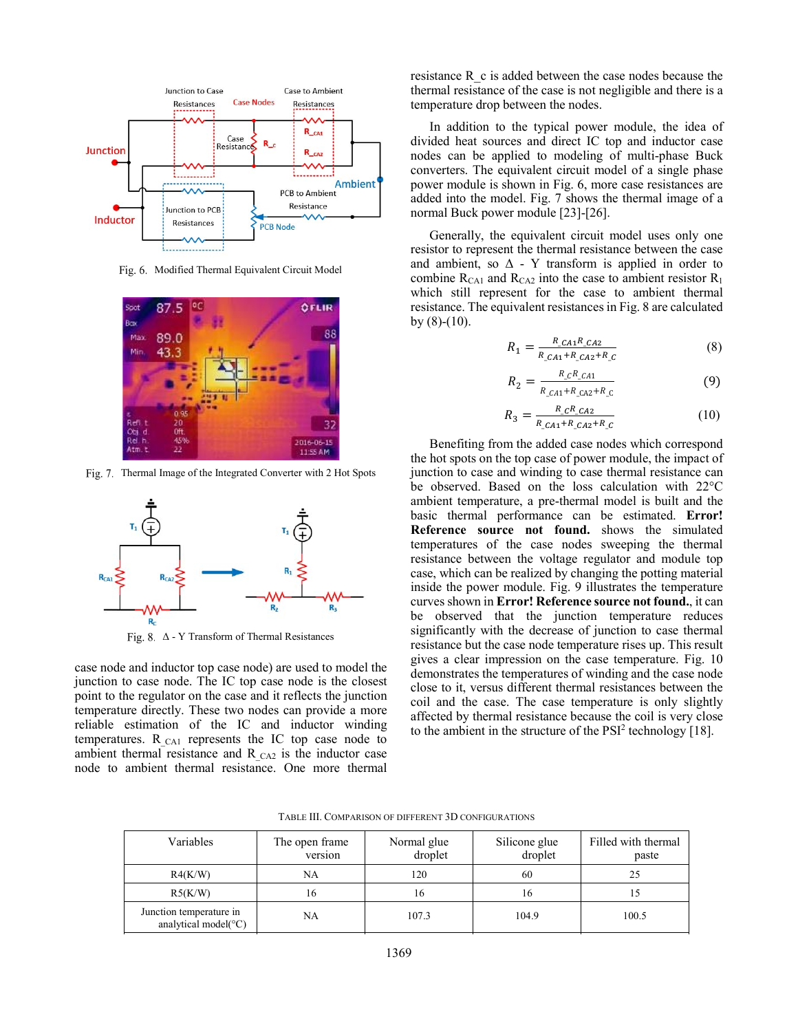

Fig. 6. Modified Thermal Equivalent Circuit Model



Fig. 7. Thermal Image of the Integrated Converter with 2 Hot Spots



Fig. 8.  $\Delta$  - Y Transform of Thermal Resistances

case node and inductor top case node) are used to model the junction to case node. The IC top case node is the closest point to the regulator on the case and it reflects the junction temperature directly. These two nodes can provide a more reliable estimation of the IC and inductor winding temperatures. R<sub>CA1</sub> represents the IC top case node to ambient thermal resistance and  $R_{CA2}$  is the inductor case node to ambient thermal resistance. One more thermal resistance R\_c is added between the case nodes because the thermal resistance of the case is not negligible and there is a temperature drop between the nodes.

In addition to the typical power module, the idea of divided heat sources and direct IC top and inductor case nodes can be applied to modeling of multi-phase Buck converters. The equivalent circuit model of a single phase power module is shown in Fig. 6, more case resistances are added into the model. Fig. 7 shows the thermal image of a normal Buck power module [23]-[26].

Generally, the equivalent circuit model uses only one resistor to represent the thermal resistance between the case and ambient, so  $\Delta$  - Y transform is applied in order to combine  $R_{CA1}$  and  $R_{CA2}$  into the case to ambient resistor  $R_1$ which still represent for the case to ambient thermal resistance. The equivalent resistances in Fig. 8 are calculated by  $(8)-(10)$ .

$$
R_1 = \frac{R_{CA1}R_{CA2}}{R_{CA1}+R_{CA2}+R_{C}} \tag{8}
$$

$$
R_2 = \frac{R_{\mathcal{L}}R_{\mathcal{L}}A_1}{R_{\mathcal{L}}A_1 + R_{\mathcal{L}}A_2 + R_{\mathcal{L}}}
$$
(9)

$$
R_3 = \frac{R_c R_c A_2}{R_c A_1 + R_c A_2 + R_c} \tag{10}
$$

Benefiting from the added case nodes which correspond the hot spots on the top case of power module, the impact of junction to case and winding to case thermal resistance can be observed. Based on the loss calculation with 22°C ambient temperature, a pre-thermal model is built and the basic thermal performance can be estimated. **Error! Reference source not found.** shows the simulated temperatures of the case nodes sweeping the thermal resistance between the voltage regulator and module top case, which can be realized by changing the potting material inside the power module. Fig. 9 illustrates the temperature curves shown in **Error! Reference source not found.**, it can be observed that the junction temperature reduces significantly with the decrease of junction to case thermal resistance but the case node temperature rises up. This result gives a clear impression on the case temperature. Fig. 10 demonstrates the temperatures of winding and the case node close to it, versus different thermal resistances between the coil and the case. The case temperature is only slightly affected by thermal resistance because the coil is very close to the ambient in the structure of the PSI<sup>2</sup> technology [18].

| Variables                                                    | The open frame<br>version | Normal glue<br>droplet | Silicone glue<br>droplet | Filled with thermal<br>paste |
|--------------------------------------------------------------|---------------------------|------------------------|--------------------------|------------------------------|
| R4(K/W)                                                      | NA                        | 120                    | 60                       | 25                           |
| R5(K/W)                                                      | 16                        | 16                     | 16                       |                              |
| Junction temperature in<br>analytical model( ${}^{\circ}$ C) | NA                        | 107.3                  | 104.9                    | 100.5                        |

TABLE III. COMPARISON OF DIFFERENT 3D CONFIGURATIONS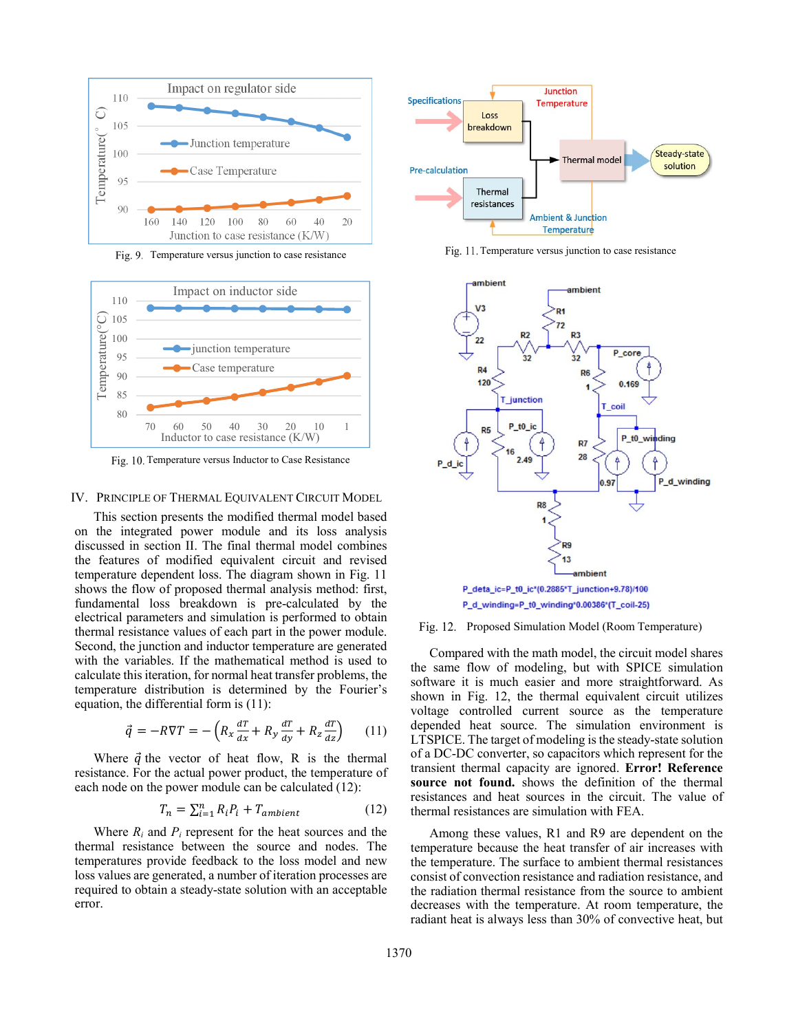

Fig. 9. Temperature versus junction to case resistance



Fig. 10. Temperature versus Inductor to Case Resistance

## IV. PRINCIPLE OF THERMAL EQUIVALENT CIRCUIT MODEL

This section presents the modified thermal model based on the integrated power module and its loss analysis discussed in section II. The final thermal model combines the features of modified equivalent circuit and revised temperature dependent loss. The diagram shown in Fig. 11 shows the flow of proposed thermal analysis method: first, fundamental loss breakdown is pre-calculated by the electrical parameters and simulation is performed to obtain thermal resistance values of each part in the power module. Second, the junction and inductor temperature are generated with the variables. If the mathematical method is used to calculate this iteration, for normal heat transfer problems, the temperature distribution is determined by the Fourier's equation, the differential form is (11):

$$
\vec{q} = -R\nabla T = -\left(R_x \frac{dT}{dx} + R_y \frac{dT}{dy} + R_z \frac{dT}{dz}\right) \tag{11}
$$

Where  $\vec{q}$  the vector of heat flow, R is the thermal resistance. For the actual power product, the temperature of each node on the power module can be calculated (12):

$$
T_n = \sum_{i=1}^n R_i P_i + T_{ambient} \tag{12}
$$

Where  $R_i$  and  $P_i$  represent for the heat sources and the thermal resistance between the source and nodes. The temperatures provide feedback to the loss model and new loss values are generated, a number of iteration processes are required to obtain a steady-state solution with an acceptable error.



Fig. 11. Temperature versus junction to case resistance



Fig. 12. Proposed Simulation Model (Room Temperature)

Compared with the math model, the circuit model shares the same flow of modeling, but with SPICE simulation software it is much easier and more straightforward. As shown in Fig. 12, the thermal equivalent circuit utilizes voltage controlled current source as the temperature depended heat source. The simulation environment is LTSPICE. The target of modeling is the steady-state solution of a DC-DC converter, so capacitors which represent for the transient thermal capacity are ignored. **Error! Reference source not found.** shows the definition of the thermal resistances and heat sources in the circuit. The value of thermal resistances are simulation with FEA.

Among these values, R1 and R9 are dependent on the temperature because the heat transfer of air increases with the temperature. The surface to ambient thermal resistances consist of convection resistance and radiation resistance, and the radiation thermal resistance from the source to ambient decreases with the temperature. At room temperature, the radiant heat is always less than 30% of convective heat, but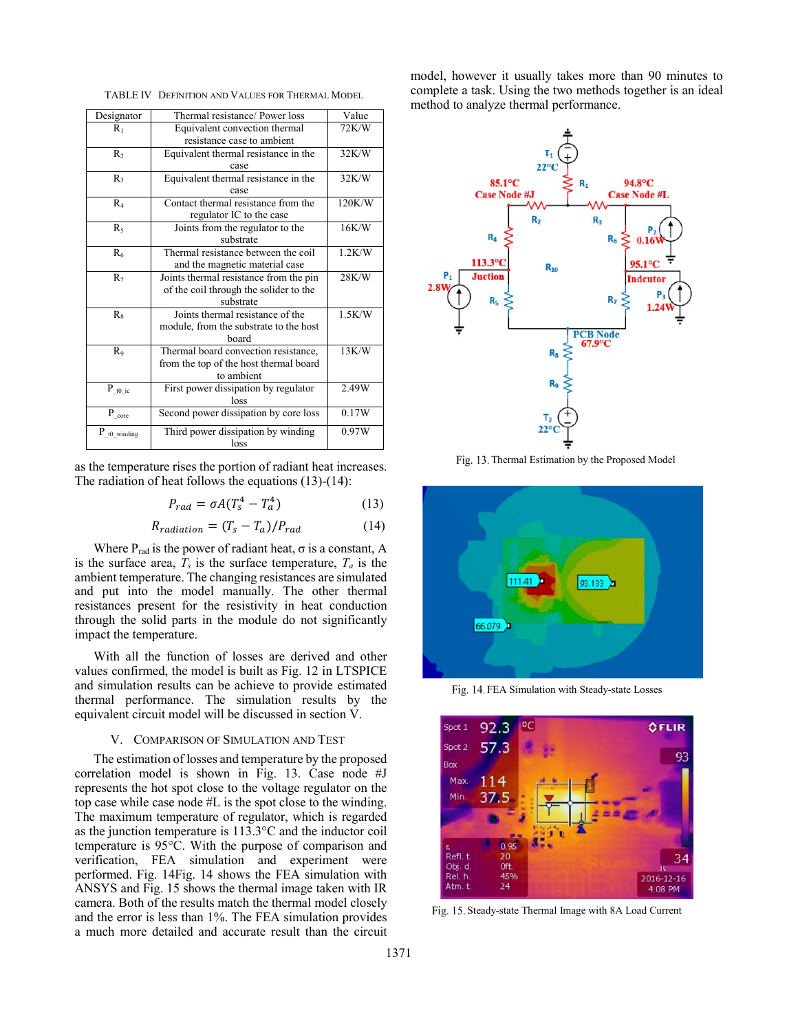TABLE IV DEFINITION AND VALUES FOR THERMAL MODEL

| Designator                   | Thermal resistance/ Power loss         | Value     |
|------------------------------|----------------------------------------|-----------|
| $R_1$                        | Equivalent convection thermal          | 72K/W     |
|                              | resistance case to ambient             |           |
| R <sub>2</sub>               | Equivalent thermal resistance in the   | 32K/W     |
|                              | case                                   |           |
| R <sub>3</sub>               | Equivalent thermal resistance in the   | 32K/W     |
|                              | case                                   |           |
| $R_4$                        | Contact thermal resistance from the    | 120K/W    |
|                              | regulator IC to the case               |           |
| R٤                           | Joints from the regulator to the       | 16K/W     |
|                              | substrate                              |           |
| R <sub>6</sub>               | Thermal resistance between the coil    | $1.2$ K/W |
|                              | and the magnetic material case         |           |
| $R_7$                        | Joints thermal resistance from the pin | 28K/W     |
|                              | of the coil through the solider to the |           |
|                              | substrate                              |           |
| $R_8$                        | Joints thermal resistance of the       | 1.5K/W    |
|                              | module, from the substrate to the host |           |
|                              | board                                  |           |
| $R_9$                        | Thermal board convection resistance,   | 13K/W     |
|                              | from the top of the host thermal board |           |
|                              | to ambient                             |           |
| $P_{t0\_ic}$                 | First power dissipation by regulator   | 2.49W     |
|                              | loss                                   |           |
| $\mathbf{P}_{\_\text{core}}$ | Second power dissipation by core loss  | 0.17W     |
| $P_{t0\_winding}$            | Third power dissipation by winding     | 0.97W     |
|                              | loss                                   |           |

as the temperature rises the portion of radiant heat increases. The radiation of heat follows the equations (13)-(14):

$$
P_{rad} = \sigma A (T_s^4 - T_a^4) \tag{13}
$$

$$
R_{radiation} = (T_s - T_a) / P_{rad} \tag{14}
$$

Where  $P_{rad}$  is the power of radiant heat,  $\sigma$  is a constant, A is the surface area,  $T_s$  is the surface temperature,  $T_a$  is the ambient temperature. The changing resistances are simulated and put into the model manually. The other thermal resistances present for the resistivity in heat conduction through the solid parts in the module do not significantly impact the temperature.

With all the function of losses are derived and other values confirmed, the model is built as Fig. 12 in LTSPICE and simulation results can be achieve to provide estimated thermal performance. The simulation results by the equivalent circuit model will be discussed in section V.

## V. COMPARISON OF SIMULATION AND TEST

The estimation of losses and temperature by the proposed correlation model is shown in Fig. 13. Case node #J represents the hot spot close to the voltage regulator on the top case while case node #L is the spot close to the winding. The maximum temperature of regulator, which is regarded as the junction temperature is 113.3°C and the inductor coil temperature is 95°C. With the purpose of comparison and verification, FEA simulation and experiment were performed. Fig. 14Fig. 14 shows the FEA simulation with ANSYS and Fig. 15 shows the thermal image taken with IR camera. Both of the results match the thermal model closely and the error is less than 1%. The FEA simulation provides a much more detailed and accurate result than the circuit

model, however it usually takes more than 90 minutes to complete a task. Using the two methods together is an ideal method to analyze thermal performance.



Fig. 13. Thermal Estimation by the Proposed Model



Fig. 14. FEA Simulation with Steady-state Losses



Fig. 15. Steady-state Thermal Image with 8A Load Current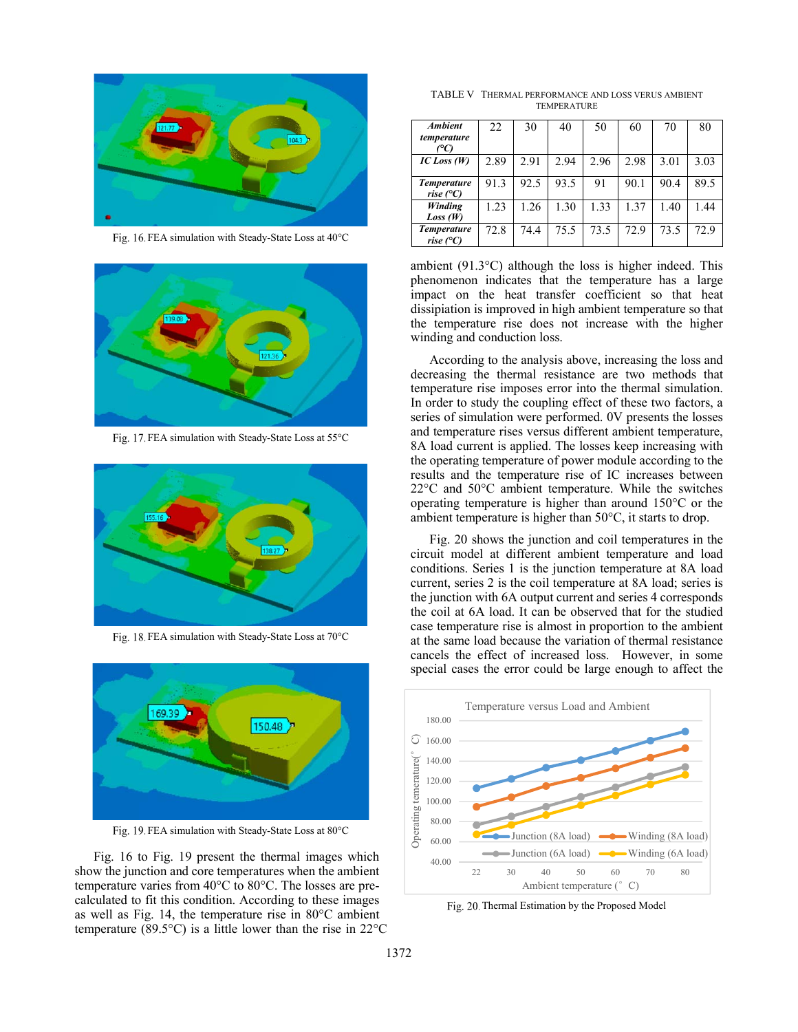

Fig. 16. FEA simulation with Steady-State Loss at  $40^{\circ}$ C



Fig. 17. FEA simulation with Steady-State Loss at 55°C



Fig. 18. FEA simulation with Steady-State Loss at 70°C



Fig. 19. FEA simulation with Steady-State Loss at 80°C

Fig. 16 to Fig. 19 present the thermal images which show the junction and core temperatures when the ambient temperature varies from 40°C to 80°C. The losses are precalculated to fit this condition. According to these images as well as Fig. 14, the temperature rise in 80°C ambient temperature (89.5 $\degree$ C) is a little lower than the rise in 22 $\degree$ C

TABLE V THERMAL PERFORMANCE AND LOSS VERUS AMBIENT TEMPERATURE

| <b>Ambient</b>                           | 22   | 30   | 40   | 50   | 60   | 70   | 80   |
|------------------------------------------|------|------|------|------|------|------|------|
| temperature<br>(°C)                      |      |      |      |      |      |      |      |
| $IC$ Loss $(W)$                          | 2.89 | 2.91 | 2.94 | 2.96 | 2.98 | 3.01 | 3.03 |
| <b>Temperature</b><br>rise $(^{\circ}C)$ | 91.3 | 92.5 | 93.5 | 91   | 90.1 | 90.4 | 89.5 |
| Winding<br>Loss(W)                       | 1.23 | 1.26 | 1.30 | 1.33 | 1.37 | 1.40 | 1.44 |
| <b>Temperature</b><br>rise $(^{\circ}C)$ | 72.8 | 74.4 | 75.5 | 73.5 | 72.9 | 73.5 | 72.9 |

ambient (91.3°C) although the loss is higher indeed. This phenomenon indicates that the temperature has a large impact on the heat transfer coefficient so that heat dissipiation is improved in high ambient temperature so that the temperature rise does not increase with the higher winding and conduction loss.

According to the analysis above, increasing the loss and decreasing the thermal resistance are two methods that temperature rise imposes error into the thermal simulation. In order to study the coupling effect of these two factors, a series of simulation were performed. 0V presents the losses and temperature rises versus different ambient temperature, 8A load current is applied. The losses keep increasing with the operating temperature of power module according to the results and the temperature rise of IC increases between 22°C and 50°C ambient temperature. While the switches operating temperature is higher than around 150°C or the ambient temperature is higher than 50°C, it starts to drop.

Fig. 20 shows the junction and coil temperatures in the circuit model at different ambient temperature and load conditions. Series 1 is the junction temperature at 8A load current, series 2 is the coil temperature at 8A load; series is the junction with 6A output current and series 4 corresponds the coil at 6A load. It can be observed that for the studied case temperature rise is almost in proportion to the ambient at the same load because the variation of thermal resistance cancels the effect of increased loss. However, in some special cases the error could be large enough to affect the



Fig. 20. Thermal Estimation by the Proposed Model